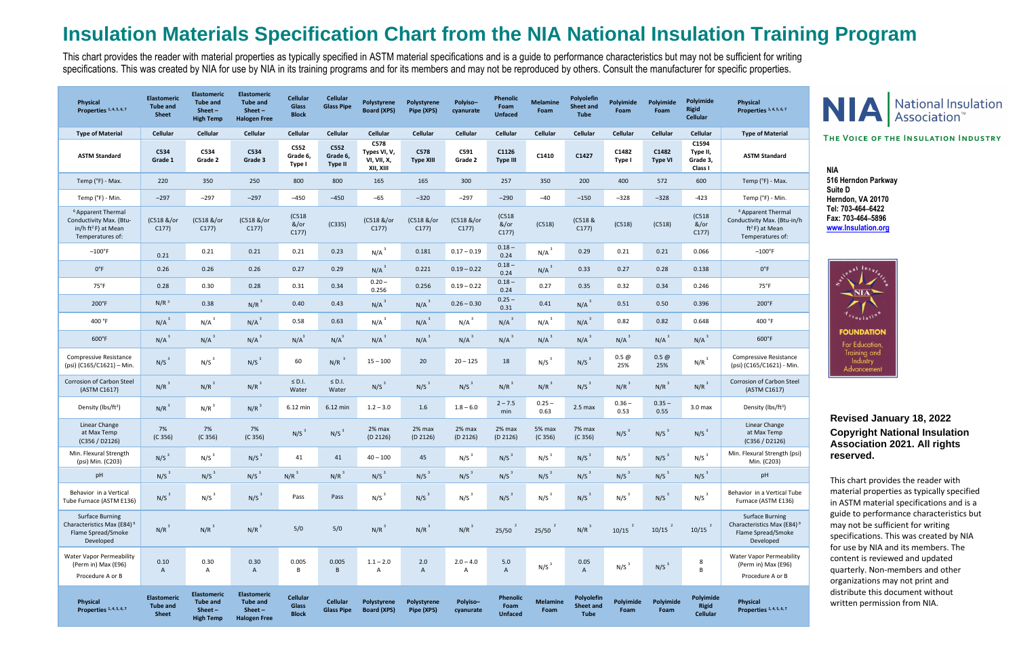## **Insulation Materials Specification Chart from the NIA National Insulation Training Program**

This chart provides the reader with material properties as typically specified in ASTM material specifications and is a guide to performance characteristics but may not be sufficient for writing specifications. This was created by NIA for use by NIA in its training programs and for its members and may not be reproduced by others. Consult the manufacturer for specific properties.

### **Physical Properties 1, 4, 5, 6, 7**

### **ASTM Standard**

oparent Thermal tivity Max. (Btu-in/h ft<sup>2</sup>F) at Mean mperatures of:

lexural Strength (psi) Min. (C203)

| Physical<br>Properties 1, 4, 5, 6, 7                                                                   | <b>Elastomeric</b><br><b>Tube and</b><br><b>Sheet</b> | <b>Elastomeric</b><br><b>Tube and</b><br>$Sheet -$<br><b>High Temp</b> | <b>Elastomeric</b><br><b>Tube and</b><br>$Sheet -$<br><b>Halogen Free</b> | <b>Cellular</b><br><b>Glass</b><br><b>Block</b> | <b>Cellular</b><br><b>Glass Pipe</b> | Polystyrene<br><b>Board (XPS)</b>                | Polystyrene<br>Pipe (XPS) | Polyiso-<br>cyanurate         | <b>Phenolic</b><br>Foam<br><b>Unfaced</b> | <b>Melamine</b><br>Foam | Polyolefin<br>Sheet and<br><b>Tube</b> | Polyimide<br>Foam  | Polyimide<br>Foam       | Polyimide<br><b>Rigid</b><br><b>Cellular</b> | Physical<br>Properties 1, 4, 5, 6, 7                                                                 |
|--------------------------------------------------------------------------------------------------------|-------------------------------------------------------|------------------------------------------------------------------------|---------------------------------------------------------------------------|-------------------------------------------------|--------------------------------------|--------------------------------------------------|---------------------------|-------------------------------|-------------------------------------------|-------------------------|----------------------------------------|--------------------|-------------------------|----------------------------------------------|------------------------------------------------------------------------------------------------------|
| <b>Type of Material</b>                                                                                | Cellular                                              | Cellular                                                               | Cellular                                                                  | Cellular                                        | Cellular                             | <b>Cellular</b>                                  | Cellular                  | <b>Cellular</b>               | <b>Cellular</b>                           | Cellular                | Cellular                               | Cellular           | Cellular                | Cellular                                     | <b>Type of Material</b>                                                                              |
| <b>ASTM Standard</b>                                                                                   | C534<br>Grade 1                                       | C534<br>Grade 2                                                        | C534<br>Grade 3                                                           | C552<br>Grade 6,<br>Type I                      | C552<br>Grade 6,<br><b>Type II</b>   | C578<br>Types VI, V,<br>VI, VII, X,<br>XII, XIII | C578<br><b>Type XIII</b>  | C591<br>Grade 2               | C1126<br><b>Type III</b>                  | C1410                   | C1427                                  | C1482<br>Type I    | C1482<br><b>Type VI</b> | C1594<br>Type II,<br>Grade 3,<br>Class I     | <b>ASTM Standard</b>                                                                                 |
| Temp (°F) - Max.                                                                                       | 220                                                   | 350                                                                    | 250                                                                       | 800                                             | 800                                  | 165                                              | 165                       | 300                           | 257                                       | 350                     | 200                                    | 400                | 572                     | 600                                          | Temp (°F) - Max.                                                                                     |
| Temp (°F) - Min.                                                                                       | $-297$                                                | $-297$                                                                 | $-297$                                                                    | $-450$                                          | $-450$                               | $-65$                                            | $-320$                    | $-297$                        | $-290$                                    | $-40$                   | $-150$                                 | $-328$             | $-328$                  | $-423$                                       | Temp (°F) - Min.                                                                                     |
| <sup>6</sup> Apparent Thermal<br>Conductivity Max. (Btu-<br>in/h $ft^2F$ ) at Mean<br>Temperatures of: | (C518 &/or<br>C177)                                   | (C518 &/or<br>C177)                                                    | (C518 &/or<br>C177)                                                       | (C518)<br>$&/$ or<br>C177)                      | (C335)                               | (C518 &/or<br>C177)                              | (C518 &/or<br>C177)       | (C518 &/or<br>C177)           | (C518)<br>$&/$ or<br>C177)                | (C518)                  | (C518 &<br>C177                        | (C518)             | (C518)                  | (C518)<br>&/or<br>C177)                      | <sup>6</sup> Apparent Thermal<br>Conductivity Max. (Btu-in/<br>$ft^2F$ ) at Mean<br>Temperatures of: |
| $-100^{\circ}$ F                                                                                       | 0.21                                                  | 0.21                                                                   | 0.21                                                                      | 0.21                                            | 0.23                                 | $N/A$ <sup>3</sup>                               | 0.181                     | $0.17 - 0.19$                 | $0.18 -$<br>0.24                          | $N/A$ <sup>3</sup>      | 0.29                                   | 0.21               | 0.21                    | 0.066                                        | $-100^{\circ}$ F                                                                                     |
| $0^{\circ}F$                                                                                           | 0.26                                                  | 0.26                                                                   | 0.26                                                                      | 0.27                                            | 0.29                                 | $N/A$ <sup>3</sup>                               | 0.221                     | $0.19 - 0.22$                 | $0.18 -$<br>0.24                          | $N/A$ <sup>3</sup>      | 0.33                                   | 0.27               | 0.28                    | 0.138                                        | $0^{\circ}F$                                                                                         |
| $75^{\circ}$ F                                                                                         | 0.28                                                  | 0.30                                                                   | 0.28                                                                      | 0.31                                            | 0.34                                 | $0.20 -$<br>0.256                                | 0.256                     | $0.19 - 0.22$                 | $0.18 -$<br>0.24                          | 0.27                    | 0.35                                   | 0.32               | 0.34                    | 0.246                                        | $75^{\circ}$ F                                                                                       |
| 200°F                                                                                                  | N/R <sup>3</sup>                                      | 0.38                                                                   | $N/R^3$                                                                   | 0.40                                            | 0.43                                 | $N/A$ <sup>3</sup>                               | $N/A$ <sup>3</sup>        | $0.26 - 0.30$                 | $0.25 -$<br>0.31                          | 0.41                    | $N/A$ <sup>3</sup>                     | 0.51               | 0.50                    | 0.396                                        | 200°F                                                                                                |
| 400 °F                                                                                                 | $N/A$ <sup>3</sup>                                    | $N/A$ <sup>3</sup>                                                     | $N/A$ <sup>3</sup>                                                        | 0.58                                            | 0.63                                 | $N/A$ <sup>3</sup>                               | $N/A$ <sup>3</sup>        | $N/A$ <sup>3</sup>            | $N/A$ <sup>3</sup>                        | $N/A$ <sup>3</sup>      | $N/A$ <sup>3</sup>                     | 0.82               | 0.82                    | 0.648                                        | 400 °F                                                                                               |
| $600^{\circ}$ F                                                                                        | $N/A$ <sup>3</sup>                                    | $N/A$ <sup>3</sup>                                                     | $N/A$ <sup>3</sup>                                                        | $N/A^3$                                         | $N/A^3$                              | $N/A$ <sup>3</sup>                               | $N/A$ <sup>3</sup>        | $N/A$ <sup>3</sup>            | $N/A$ <sup>3</sup>                        | $N/A$ <sup>3</sup>      | $N/A$ <sup>3</sup>                     | $N/A$ <sup>3</sup> | $N/A$ <sup>3</sup>      | $N/A$ <sup>3</sup>                           | 600°F                                                                                                |
| <b>Compressive Resistance</b><br>(psi) (C165/C1621) - Min.                                             | N/S <sup>3</sup>                                      | N/S <sup>3</sup>                                                       | N/S <sup>3</sup>                                                          | 60                                              | $N/R$ <sup>3</sup>                   | $15 - 100$                                       | 20                        | $20 - 125$                    | 18                                        | N/S <sup>3</sup>        | N/S <sup>3</sup>                       | 0.5@<br>25%        | $0.5 \omega$<br>25%     | $N/R^3$                                      | <b>Compressive Resistance</b><br>(psi) (C165/C1621) - Min.                                           |
| Corrosion of Carbon Steel<br>(ASTM C1617)                                                              | $N/R^3$                                               | $N/R^3$                                                                | $N/R^3$                                                                   | $\leq$ D.I.<br>Water                            | $\leq$ D.I.<br>Water                 | N/S <sup>3</sup>                                 | N/S <sup>3</sup>          | N/S <sup>3</sup>              | $N/R^3$                                   | $N/R^3$                 | N/S <sup>3</sup>                       | $N/R^3$            | $N/R^3$                 | $N/R^3$                                      | Corrosion of Carbon Stee<br>(ASTM C1617)                                                             |
| Density (lbs/ft <sup>3</sup> )                                                                         | $N/R^3$                                               | $N/R^3$                                                                | $N/R^3$                                                                   | $6.12$ min                                      | 6.12 min                             | $1.2 - 3.0$                                      | 1.6                       | $1.8 - 6.0$                   | $2 - 7.5$<br>min                          | $0.25 -$<br>0.63        | 2.5 <sub>max</sub>                     | $0.36 -$<br>0.53   | $0.35 -$<br>0.55        | 3.0 <sub>max</sub>                           | Density (lbs/ft <sup>3</sup> )                                                                       |
| Linear Change<br>at Max Temp<br>(C356 / D2126)                                                         | 7%<br>(C 356)                                         | 7%<br>(C 356)                                                          | 7%<br>(C 356)                                                             | N/S <sup>3</sup>                                | N/S <sup>3</sup>                     | 2% max<br>(D 2126)                               | 2% max<br>(D 2126)        | 2% max<br>(D 2126)            | 2% max<br>(D 2126)                        | 5% max<br>(C 356)       | 7% max<br>(C 356)                      | N/S <sup>3</sup>   | N/S <sup>3</sup>        | N/S <sup>3</sup>                             | Linear Change<br>at Max Temp<br>(C356 / D2126)                                                       |
| Min. Flexural Strength<br>(psi) Min. (C203)                                                            | $N/S^3$                                               | N/S <sup>3</sup>                                                       | $N/S^3$                                                                   | 41                                              | 41                                   | $40 - 100$                                       | 45                        | N/S <sup>3</sup>              | N/S <sup>3</sup>                          | N/S <sup>3</sup>        | N/S <sup>3</sup>                       | N/S <sup>3</sup>   | N/S <sup>3</sup>        | N/S <sup>3</sup>                             | Min. Flexural Strength (ps<br>Min. (C203)                                                            |
| pH                                                                                                     | N/S <sup>3</sup>                                      | N/S <sup>3</sup>                                                       | N/S <sup>3</sup>                                                          | $N/R^3$                                         | $N/R^3$                              | N/S <sup>3</sup>                                 | N/S <sup>3</sup>          | N/S <sup>3</sup>              | N/S <sup>3</sup>                          | N/S <sup>3</sup>        | N/S <sup>3</sup>                       | N/S <sup>3</sup>   | N/S <sup>3</sup>        | N/S <sup>3</sup>                             | pH                                                                                                   |
| Behavior in a Vertical<br>Tube Furnace (ASTM E136)                                                     | N/S <sup>3</sup>                                      | N/S <sup>3</sup>                                                       | N/S <sup>3</sup>                                                          | Pass                                            | Pass                                 | $N/S^3$                                          | N/S <sup>3</sup>          | N/S <sup>3</sup>              | N/S <sup>3</sup>                          | N/S <sup>3</sup>        | N/S <sup>3</sup>                       | $N/S^3$            | N/S <sup>3</sup>        | N/S <sup>3</sup>                             | Behavior in a Vertical Tub<br>Furnace (ASTM E136)                                                    |
| <b>Surface Burning</b><br>Characteristics Max (E84) <sup>9</sup><br>Flame Spread/Smoke<br>Developed    | $N/R^3$                                               | $N/R^3$                                                                | $N/R^3$                                                                   | $5/0$                                           | $5/0$                                | $N/R^3$                                          | $N/R^3$                   | $N/R^3$                       | 25/50                                     | 25/50                   | $N/R^3$                                | 10/15              | 10/15                   | 10/15                                        | <b>Surface Burning</b><br>Characteristics Max (E84)<br>Flame Spread/Smoke<br>Developed               |
| <b>Water Vapor Permeability</b><br>(Perm in) Max (E96)<br>Procedure A or B                             | 0.10<br>$\mathsf{A}$                                  | 0.30<br>A                                                              | 0.30<br>$\mathsf{A}$                                                      | 0.005<br>B                                      | 0.005<br>$\,$ B                      | $1.1 - 2.0$<br>Α                                 | 2.0<br>$\mathsf{A}$       | $2.0 - 4.0$<br>$\overline{A}$ | 5.0<br>$\overline{A}$                     | N/S <sup>3</sup>        | 0.05<br>$\overline{A}$                 | $N/S^3$            | N/S <sup>3</sup>        | 8<br>B                                       | Water Vapor Permeability<br>(Perm in) Max (E96)<br>Procedure A or B                                  |
| Physical<br>Properties 1, 4, 5, 6, 7                                                                   | <b>Elastomeric</b><br><b>Tube and</b><br><b>Sheet</b> | <b>Elastomeric</b><br><b>Tube and</b><br>$Sheet -$<br><b>High Temp</b> | <b>Elastomeric</b><br><b>Tube and</b><br>$Sheet -$<br><b>Halogen Free</b> | Cellular<br><b>Glass</b><br><b>Block</b>        | <b>Cellular</b><br><b>Glass Pipe</b> | Polystyrene<br><b>Board (XPS)</b>                | Polystyrene<br>Pipe (XPS) | Polyiso-<br>cyanurate         | Phenolic<br>Foam<br><b>Unfaced</b>        | <b>Melamine</b><br>Foam | Polyolefin<br>Sheet and<br><b>Tube</b> | Polyimide<br>Foam  | Polyimide<br>Foam       | Polyimide<br>Rigid<br><b>Cellular</b>        | <b>Physical</b><br>Properties 1, 4, 5, 6, 7                                                          |

ior in a Vertical Tube nace (ASTM E136)

# **NIA** National Insulation

### THE VOICE OF THE INSULATION INDUSTRY

### **Revised January 18, 2022 Copyright National Insulation Association 2021. All rights reserved.**

This chart provides the reader with material properties as typically specified in ASTM material specifications and is a guide to performance characteristics but may not be sufficient for writing specifications. This was created by NIA for use by NIA and its members. The content is reviewed and updated quarterly. Non-members and other organizations may not print and distribute this document without written permission from NIA.

**NIA 516 Herndon Parkway Suite D Herndon, VA 20170 Tel: 703-464–6422 Fax: 703-464–5896 [www.Insulation.org](http://www.insulation.org/)**